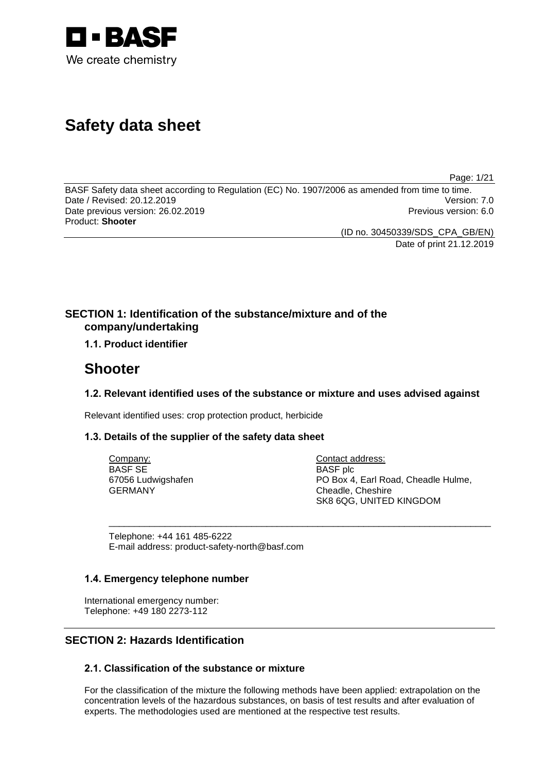

# **Safety data sheet**

Page: 1/21

BASF Safety data sheet according to Regulation (EC) No. 1907/2006 as amended from time to time. Date / Revised: 20.12.2019 Date previous version: 26.02.2019 **Previous version: 6.0** Previous version: 6.0 Product: **Shooter**

(ID no. 30450339/SDS\_CPA\_GB/EN)

Date of print 21.12.2019

# **SECTION 1: Identification of the substance/mixture and of the company/undertaking**

# **1.1. Product identifier**

# **Shooter**

# **1.2. Relevant identified uses of the substance or mixture and uses advised against**

\_\_\_\_\_\_\_\_\_\_\_\_\_\_\_\_\_\_\_\_\_\_\_\_\_\_\_\_\_\_\_\_\_\_\_\_\_\_\_\_\_\_\_\_\_\_\_\_\_\_\_\_\_\_\_\_\_\_\_\_\_\_\_\_\_\_\_\_\_\_\_\_\_\_\_

Relevant identified uses: crop protection product, herbicide

# **1.3. Details of the supplier of the safety data sheet**

Company: BASF SE 67056 Ludwigshafen GERMANY

Contact address: BASF plc PO Box 4, Earl Road, Cheadle Hulme, Cheadle, Cheshire SK8 6QG, UNITED KINGDOM

Telephone: +44 161 485-6222 E-mail address: product-safety-north@basf.com

# **1.4. Emergency telephone number**

International emergency number: Telephone: +49 180 2273-112

# **SECTION 2: Hazards Identification**

# **2.1. Classification of the substance or mixture**

For the classification of the mixture the following methods have been applied: extrapolation on the concentration levels of the hazardous substances, on basis of test results and after evaluation of experts. The methodologies used are mentioned at the respective test results.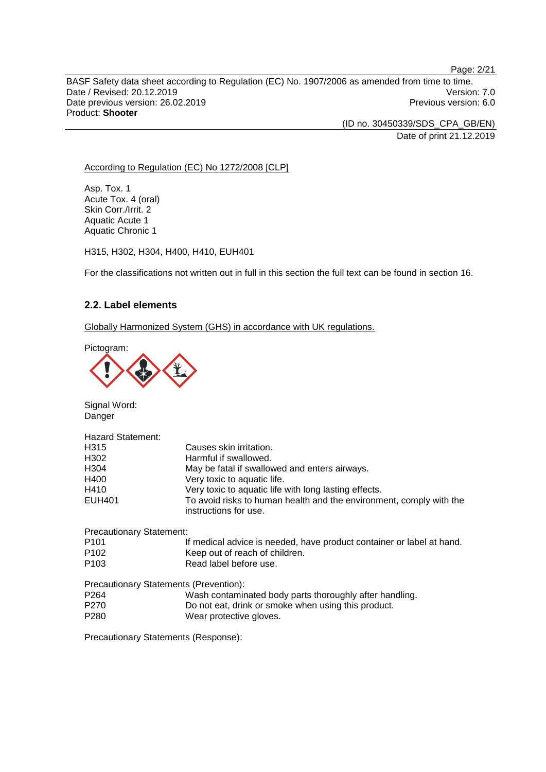Page: 2/21

BASF Safety data sheet according to Regulation (EC) No. 1907/2006 as amended from time to time. Date / Revised: 20.12.2019 Version: 7.0<br>Date previous version: 26.02.2019 Version: 7.0 Date previous version: 26.02.2019 Product: **Shooter**

> (ID no. 30450339/SDS\_CPA\_GB/EN) Date of print 21.12.2019

## According to Regulation (EC) No 1272/2008 [CLP]

Asp. Tox. 1 Acute Tox. 4 (oral) Skin Corr./Irrit. 2 Aquatic Acute 1 Aquatic Chronic 1

H315, H302, H304, H400, H410, EUH401

For the classifications not written out in full in this section the full text can be found in section 16.

## **2.2. Label elements**

Globally Harmonized System (GHS) in accordance with UK regulations.

Pictogram:



Signal Word: Danger

| <b>Hazard Statement:</b> |                                                                                              |
|--------------------------|----------------------------------------------------------------------------------------------|
| H315                     | Causes skin irritation.                                                                      |
| H302                     | Harmful if swallowed.                                                                        |
| H304                     | May be fatal if swallowed and enters airways.                                                |
| H400                     | Very toxic to aquatic life.                                                                  |
| H410                     | Very toxic to aquatic life with long lasting effects.                                        |
| <b>EUH401</b>            | To avoid risks to human health and the environment, comply with the<br>instructions for use. |

Precautionary Statement: P101 If medical advice is needed, have product container or label at hand. P102 Keep out of reach of children. P103 Read label before use.

| Precautionary Statements (Prevention): |                                                         |
|----------------------------------------|---------------------------------------------------------|
| P <sub>264</sub>                       | Wash contaminated body parts thoroughly after handling. |
| P270                                   | Do not eat, drink or smoke when using this product.     |
| P <sub>280</sub>                       | Wear protective gloves.                                 |

Precautionary Statements (Response):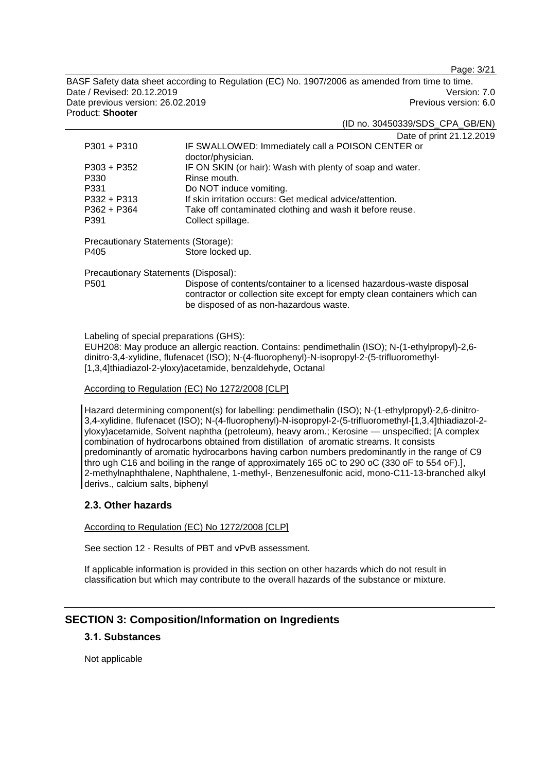Page: 3/21

BASF Safety data sheet according to Regulation (EC) No. 1907/2006 as amended from time to time. Date / Revised: 20.12.2019 Version: 7.0 Date previous version: 26.02.2019 **Previous version: 6.0** Previous version: 6.0 Product: **Shooter**

(ID no. 30450339/SDS\_CPA\_GB/EN)

Date of print 21.12.2019

| $P301 + P310$                        | IF SWALLOWED: Immediately call a POISON CENTER or<br>doctor/physician.                                                                                                                      |  |
|--------------------------------------|---------------------------------------------------------------------------------------------------------------------------------------------------------------------------------------------|--|
| $P303 + P352$                        | IF ON SKIN (or hair): Wash with plenty of soap and water.                                                                                                                                   |  |
| P330                                 | Rinse mouth.                                                                                                                                                                                |  |
| P331                                 | Do NOT induce vomiting.                                                                                                                                                                     |  |
| $P332 + P313$                        | If skin irritation occurs: Get medical advice/attention.                                                                                                                                    |  |
| $P362 + P364$                        | Take off contaminated clothing and wash it before reuse.                                                                                                                                    |  |
| P391                                 | Collect spillage.                                                                                                                                                                           |  |
| Precautionary Statements (Storage):  |                                                                                                                                                                                             |  |
| P405                                 | Store locked up.                                                                                                                                                                            |  |
| Precautionary Statements (Disposal): |                                                                                                                                                                                             |  |
| P <sub>501</sub>                     | Dispose of contents/container to a licensed hazardous-waste disposal<br>contractor or collection site except for empty clean containers which can<br>be disposed of as non-hazardous waste. |  |

Labeling of special preparations (GHS):

EUH208: May produce an allergic reaction. Contains: pendimethalin (ISO); N-(1-ethylpropyl)-2,6 dinitro-3,4-xylidine, flufenacet (ISO); N-(4-fluorophenyl)-N-isopropyl-2-(5-trifluoromethyl- [1,3,4]thiadiazol-2-yloxy)acetamide, benzaldehyde, Octanal

#### According to Regulation (EC) No 1272/2008 [CLP]

Hazard determining component(s) for labelling: pendimethalin (ISO); N-(1-ethylpropyl)-2,6-dinitro-3,4-xylidine, flufenacet (ISO); N-(4-fluorophenyl)-N-isopropyl-2-(5-trifluoromethyl-[1,3,4]thiadiazol-2 yloxy)acetamide, Solvent naphtha (petroleum), heavy arom.; Kerosine — unspecified; [A complex combination of hydrocarbons obtained from distillation of aromatic streams. It consists predominantly of aromatic hydrocarbons having carbon numbers predominantly in the range of C9 thro ugh C16 and boiling in the range of approximately 165 oC to 290 oC (330 oF to 554 oF).], 2-methylnaphthalene, Naphthalene, 1-methyl-, Benzenesulfonic acid, mono-C11-13-branched alkyl derivs., calcium salts, biphenyl

## **2.3. Other hazards**

According to Regulation (EC) No 1272/2008 [CLP]

See section 12 - Results of PBT and vPvB assessment.

If applicable information is provided in this section on other hazards which do not result in classification but which may contribute to the overall hazards of the substance or mixture.

# **SECTION 3: Composition/Information on Ingredients**

# **3.1. Substances**

Not applicable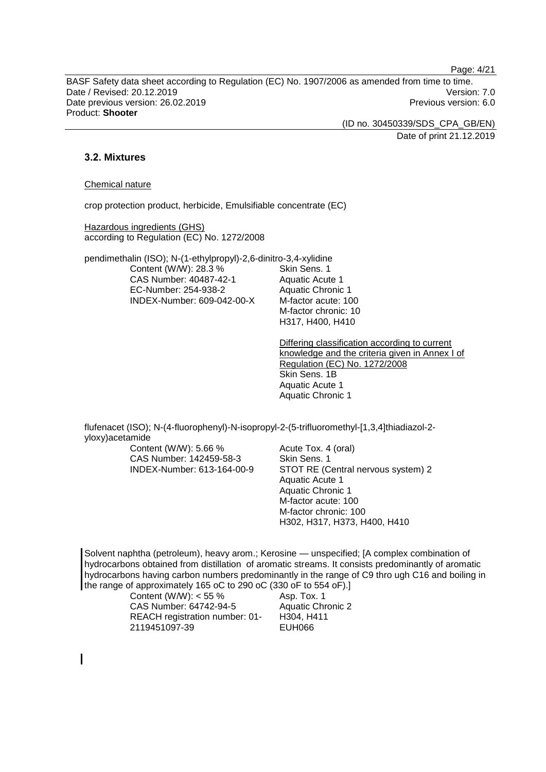Page: 4/21

BASF Safety data sheet according to Regulation (EC) No. 1907/2006 as amended from time to time. Date / Revised: 20.12.2019 Version: 7.0 Date previous version: 26.02.2019 **Previous version: 6.0** Previous version: 6.0 Product: **Shooter**

> (ID no. 30450339/SDS\_CPA\_GB/EN) Date of print 21.12.2019

## **3.2. Mixtures**

## Chemical nature

crop protection product, herbicide, Emulsifiable concentrate (EC)

Hazardous ingredients (GHS) according to Regulation (EC) No. 1272/2008

pendimethalin (ISO); N-(1-ethylpropyl)-2,6-dinitro-3,4-xylidine Content (W/W): 28.3 % CAS Number: 40487-42-1 EC-Number: 254-938-2 INDEX-Number: 609-042-00-X

Skin Sens. 1 Aquatic Acute 1 Aquatic Chronic 1 M-factor acute: 100 M-factor chronic: 10 H317, H400, H410

Differing classification according to current knowledge and the criteria given in Annex I of Regulation (EC) No. 1272/2008 Skin Sens. 1B Aquatic Acute 1 Aquatic Chronic 1

flufenacet (ISO); N-(4-fluorophenyl)-N-isopropyl-2-(5-trifluoromethyl-[1,3,4]thiadiazol-2 yloxy)acetamide

Content (W/W): 5.66 % CAS Number: 142459-58-3 INDEX-Number: 613-164-00-9 Acute Tox. 4 (oral) Skin Sens. 1 STOT RE (Central nervous system) 2 Aquatic Acute 1 Aquatic Chronic 1 M-factor acute: 100 M-factor chronic: 100 H302, H317, H373, H400, H410

Solvent naphtha (petroleum), heavy arom.; Kerosine — unspecified; [A complex combination of hydrocarbons obtained from distillation of aromatic streams. It consists predominantly of aromatic hydrocarbons having carbon numbers predominantly in the range of C9 thro ugh C16 and boiling in the range of approximately 165 oC to 290 oC (330 oF to 554 oF).]

| Content (W/W): $<$ 55 %        |
|--------------------------------|
| CAS Number: 64742-94-5         |
| REACH registration number: 01- |
| 2119451097-39                  |

Asp. Tox. 1 Aquatic Chronic 2 H304, H411 EUH066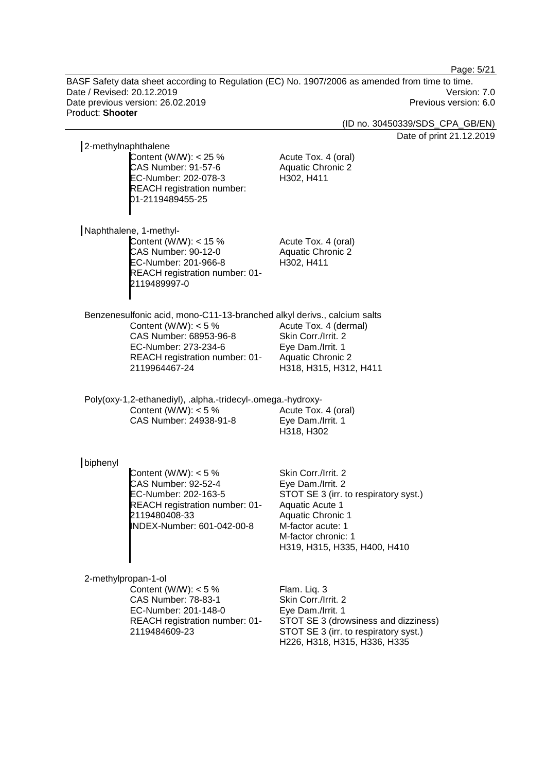Page: 5/21

BASF Safety data sheet according to Regulation (EC) No. 1907/2006 as amended from time to time. Date / Revised: 20.12.2019 Version: 7.0 Date previous version: 26.02.2019 Previous version: 6.0 Product: **Shooter**

(ID no. 30450339/SDS\_CPA\_GB/EN)

Date of print 21.12.2019

| 2-methylnaphthalene                                                                                                                                                                                    |                                                                                                                                                                                                              |
|--------------------------------------------------------------------------------------------------------------------------------------------------------------------------------------------------------|--------------------------------------------------------------------------------------------------------------------------------------------------------------------------------------------------------------|
| Content (W/W): $<$ 25 %<br>CAS Number: 91-57-6<br>EC-Number: 202-078-3<br><b>REACH registration number:</b><br>01-2119489455-25                                                                        | Acute Tox. 4 (oral)<br><b>Aquatic Chronic 2</b><br>H302, H411                                                                                                                                                |
| Naphthalene, 1-methyl-<br>Content (W/W): $<$ 15 %<br>CAS Number: 90-12-0<br>EC-Number: 201-966-8<br>REACH registration number: 01-<br>2119489997-0                                                     | Acute Tox. 4 (oral)<br><b>Aquatic Chronic 2</b><br>H302, H411                                                                                                                                                |
| Benzenesulfonic acid, mono-C11-13-branched alkyl derivs., calcium salts<br>Content (W/W): $<$ 5 %<br>CAS Number: 68953-96-8<br>EC-Number: 273-234-6<br>REACH registration number: 01-<br>2119964467-24 | Acute Tox. 4 (dermal)<br>Skin Corr./Irrit. 2<br>Eye Dam./Irrit. 1<br><b>Aquatic Chronic 2</b><br>H318, H315, H312, H411                                                                                      |
| Poly(oxy-1,2-ethanediyl), .alpha.-tridecyl-.omega.-hydroxy-<br>Content (W/W): $<$ 5 %<br>CAS Number: 24938-91-8                                                                                        | Acute Tox. 4 (oral)<br>Eye Dam./Irrit. 1<br>H318, H302                                                                                                                                                       |
| biphenyl<br>Content (W/W): $<$ 5 %<br><b>CAS Number: 92-52-4</b><br>EC-Number: 202-163-5<br>REACH registration number: 01-<br>2119480408-33<br>INDEX-Number: 601-042-00-8                              | Skin Corr./Irrit. 2<br>Eye Dam./Irrit. 2<br>STOT SE 3 (irr. to respiratory syst.)<br>Aquatic Acute 1<br><b>Aquatic Chronic 1</b><br>M-factor acute: 1<br>M-factor chronic: 1<br>H319, H315, H335, H400, H410 |
| 2-methylpropan-1-ol<br>Content (W/W): $<$ 5 %<br><b>CAS Number: 78-83-1</b><br>EC-Number: 201-148-0<br>REACH registration number: 01-<br>2119484609-23                                                 | Flam. Liq. 3<br>Skin Corr./Irrit. 2<br>Eye Dam./Irrit. 1<br>STOT SE 3 (drowsiness and dizziness)<br>STOT SE 3 (irr. to respiratory syst.)<br>H226, H318, H315, H336, H335                                    |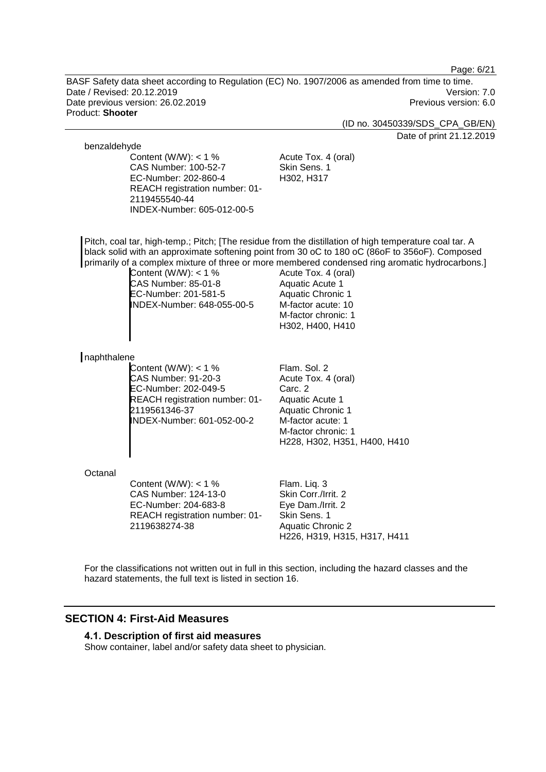Page: 6/21

BASF Safety data sheet according to Regulation (EC) No. 1907/2006 as amended from time to time. Date / Revised: 20.12.2019 Version: 7.0 Date previous version: 26.02.2019 **Previous version: 6.0** Previous version: 6.0 Product: **Shooter**

(ID no. 30450339/SDS\_CPA\_GB/EN)

Date of print 21.12.2019

#### benzaldehyde

Content (W/W):  $<$  1 % CAS Number: 100-52-7 EC-Number: 202-860-4 REACH registration number: 01- 2119455540-44 INDEX-Number: 605-012-00-5

Acute Tox. 4 (oral) Skin Sens. 1 H302, H317

Pitch, coal tar, high-temp.; Pitch; [The residue from the distillation of high temperature coal tar. A black solid with an approximate softening point from 30 oC to 180 oC (86oF to 356oF). Composed primarily of a complex mixture of three or more membered condensed ring aromatic hydrocarbons.]

Content (W/W): < 1 % CAS Number: 85-01-8 EC-Number: 201-581-5 INDEX-Number: 648-055-00-5

Acute Tox. 4 (oral) Aquatic Acute 1 Aquatic Chronic 1 M-factor acute: 10 M-factor chronic: 1 H302, H400, H410

#### naphthalene

Content (W/W):  $<$  1 % CAS Number: 91-20-3 EC-Number: 202-049-5 REACH registration number: 01- 2119561346-37 INDEX-Number: 601-052-00-2

Flam. Sol. 2 Acute Tox. 4 (oral) Carc. 2 Aquatic Acute 1 Aquatic Chronic 1 M-factor acute: 1 M-factor chronic: 1 H228, H302, H351, H400, H410

#### **Octanal**

Content (W/W):  $<$  1 % CAS Number: 124-13-0 EC-Number: 204-683-8 REACH registration number: 01- 2119638274-38

Flam. Liq. 3 Skin Corr./Irrit. 2 Eye Dam./Irrit. 2 Skin Sens. 1 Aquatic Chronic 2 H226, H319, H315, H317, H411

For the classifications not written out in full in this section, including the hazard classes and the hazard statements, the full text is listed in section 16.

# **SECTION 4: First-Aid Measures**

#### **4.1. Description of first aid measures**

Show container, label and/or safety data sheet to physician.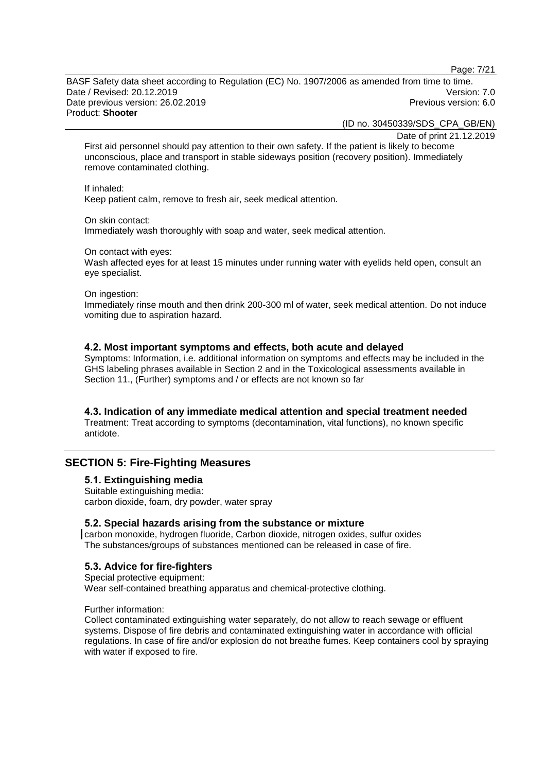Page: 7/21

BASF Safety data sheet according to Regulation (EC) No. 1907/2006 as amended from time to time. Date / Revised: 20.12.2019 Version: 7.0 Date previous version: 26.02.2019 **Previous version: 6.0** Previous version: 6.0 Product: **Shooter**

(ID no. 30450339/SDS\_CPA\_GB/EN)

Date of print 21.12.2019

First aid personnel should pay attention to their own safety. If the patient is likely to become unconscious, place and transport in stable sideways position (recovery position). Immediately remove contaminated clothing.

If inhaled:

Keep patient calm, remove to fresh air, seek medical attention.

On skin contact:

Immediately wash thoroughly with soap and water, seek medical attention.

On contact with eyes:

Wash affected eyes for at least 15 minutes under running water with eyelids held open, consult an eye specialist.

On ingestion:

Immediately rinse mouth and then drink 200-300 ml of water, seek medical attention. Do not induce vomiting due to aspiration hazard.

## **4.2. Most important symptoms and effects, both acute and delayed**

Symptoms: Information, i.e. additional information on symptoms and effects may be included in the GHS labeling phrases available in Section 2 and in the Toxicological assessments available in Section 11., (Further) symptoms and / or effects are not known so far

#### **4.3. Indication of any immediate medical attention and special treatment needed**

Treatment: Treat according to symptoms (decontamination, vital functions), no known specific antidote.

# **SECTION 5: Fire-Fighting Measures**

## **5.1. Extinguishing media**

Suitable extinguishing media: carbon dioxide, foam, dry powder, water spray

#### **5.2. Special hazards arising from the substance or mixture**

carbon monoxide, hydrogen fluoride, Carbon dioxide, nitrogen oxides, sulfur oxides The substances/groups of substances mentioned can be released in case of fire.

## **5.3. Advice for fire-fighters**

Special protective equipment: Wear self-contained breathing apparatus and chemical-protective clothing.

#### Further information:

Collect contaminated extinguishing water separately, do not allow to reach sewage or effluent systems. Dispose of fire debris and contaminated extinguishing water in accordance with official regulations. In case of fire and/or explosion do not breathe fumes. Keep containers cool by spraying with water if exposed to fire.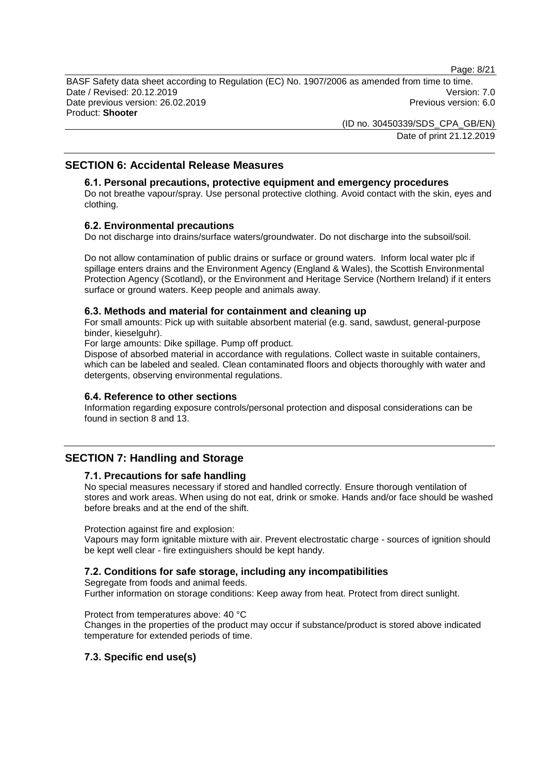Page: 8/21

BASF Safety data sheet according to Regulation (EC) No. 1907/2006 as amended from time to time. Date / Revised: 20.12.2019 Version: 7.0 Date previous version: 26.02.2019 **Previous version: 6.0** Previous version: 6.0 Product: **Shooter**

> (ID no. 30450339/SDS\_CPA\_GB/EN) Date of print 21.12.2019

## **SECTION 6: Accidental Release Measures**

## **6.1. Personal precautions, protective equipment and emergency procedures**

Do not breathe vapour/spray. Use personal protective clothing. Avoid contact with the skin, eyes and clothing.

#### **6.2. Environmental precautions**

Do not discharge into drains/surface waters/groundwater. Do not discharge into the subsoil/soil.

Do not allow contamination of public drains or surface or ground waters. Inform local water plc if spillage enters drains and the Environment Agency (England & Wales), the Scottish Environmental Protection Agency (Scotland), or the Environment and Heritage Service (Northern Ireland) if it enters surface or ground waters. Keep people and animals away.

#### **6.3. Methods and material for containment and cleaning up**

For small amounts: Pick up with suitable absorbent material (e.g. sand, sawdust, general-purpose binder, kieselguhr).

For large amounts: Dike spillage. Pump off product.

Dispose of absorbed material in accordance with regulations. Collect waste in suitable containers, which can be labeled and sealed. Clean contaminated floors and objects thoroughly with water and detergents, observing environmental regulations.

#### **6.4. Reference to other sections**

Information regarding exposure controls/personal protection and disposal considerations can be found in section 8 and 13.

## **SECTION 7: Handling and Storage**

## **7.1. Precautions for safe handling**

No special measures necessary if stored and handled correctly. Ensure thorough ventilation of stores and work areas. When using do not eat, drink or smoke. Hands and/or face should be washed before breaks and at the end of the shift.

Protection against fire and explosion:

Vapours may form ignitable mixture with air. Prevent electrostatic charge - sources of ignition should be kept well clear - fire extinguishers should be kept handy.

#### **7.2. Conditions for safe storage, including any incompatibilities**

Segregate from foods and animal feeds.

Further information on storage conditions: Keep away from heat. Protect from direct sunlight.

Protect from temperatures above: 40 °C

Changes in the properties of the product may occur if substance/product is stored above indicated temperature for extended periods of time.

## **7.3. Specific end use(s)**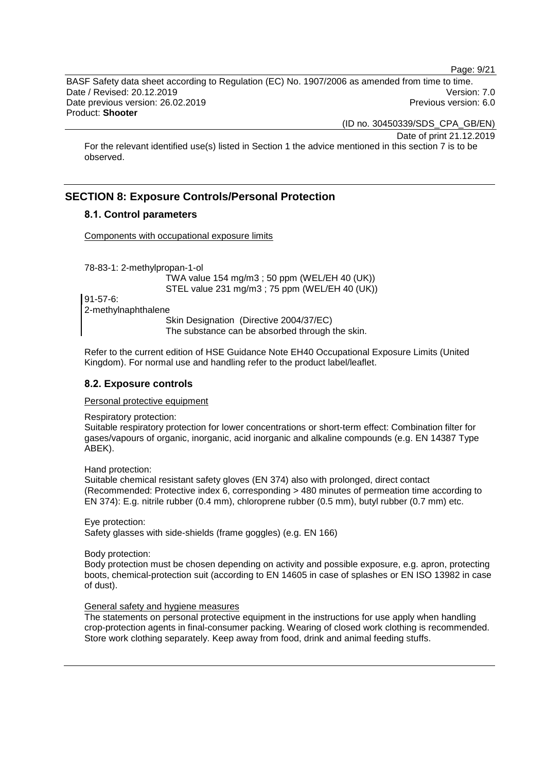Page: 9/21

BASF Safety data sheet according to Regulation (EC) No. 1907/2006 as amended from time to time. Date / Revised: 20.12.2019 Version: 7.0 Date previous version: 26.02.2019 **Previous version: 6.0** Previous version: 6.0 Product: **Shooter**

(ID no. 30450339/SDS\_CPA\_GB/EN)

Date of print 21.12.2019

For the relevant identified use(s) listed in Section 1 the advice mentioned in this section 7 is to be observed.

# **SECTION 8: Exposure Controls/Personal Protection**

## **8.1. Control parameters**

Components with occupational exposure limits

78-83-1: 2-methylpropan-1-ol

TWA value 154 mg/m3 ; 50 ppm (WEL/EH 40 (UK)) STEL value 231 mg/m3 ; 75 ppm (WEL/EH 40 (UK))

91-57-6: 2-methylnaphthalene

Skin Designation (Directive 2004/37/EC) The substance can be absorbed through the skin.

Refer to the current edition of HSE Guidance Note EH40 Occupational Exposure Limits (United Kingdom). For normal use and handling refer to the product label/leaflet.

## **8.2. Exposure controls**

#### Personal protective equipment

Respiratory protection:

Suitable respiratory protection for lower concentrations or short-term effect: Combination filter for gases/vapours of organic, inorganic, acid inorganic and alkaline compounds (e.g. EN 14387 Type ABEK).

Hand protection:

Suitable chemical resistant safety gloves (EN 374) also with prolonged, direct contact (Recommended: Protective index 6, corresponding > 480 minutes of permeation time according to EN 374): E.g. nitrile rubber (0.4 mm), chloroprene rubber (0.5 mm), butyl rubber (0.7 mm) etc.

Eye protection: Safety glasses with side-shields (frame goggles) (e.g. EN 166)

Body protection:

Body protection must be chosen depending on activity and possible exposure, e.g. apron, protecting boots, chemical-protection suit (according to EN 14605 in case of splashes or EN ISO 13982 in case of dust).

#### General safety and hygiene measures

The statements on personal protective equipment in the instructions for use apply when handling crop-protection agents in final-consumer packing. Wearing of closed work clothing is recommended. Store work clothing separately. Keep away from food, drink and animal feeding stuffs.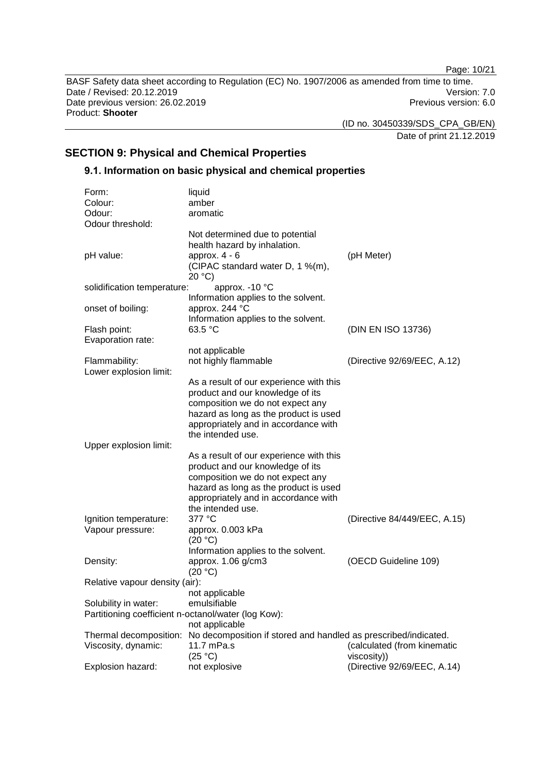Page: 10/21

BASF Safety data sheet according to Regulation (EC) No. 1907/2006 as amended from time to time. Date / Revised: 20.12.2019 Version: 7.0<br>Date previous version: 26.02.2019 Version: 7.0 Date previous version: 26.02.2019 Product: **Shooter**

(ID no. 30450339/SDS\_CPA\_GB/EN)

Date of print 21.12.2019

# **SECTION 9: Physical and Chemical Properties**

# **9.1. Information on basic physical and chemical properties**

| Form:                                               | liquid                                                                                 |                              |
|-----------------------------------------------------|----------------------------------------------------------------------------------------|------------------------------|
| Colour:                                             | amber                                                                                  |                              |
| Odour:                                              | aromatic                                                                               |                              |
| Odour threshold:                                    |                                                                                        |                              |
|                                                     | Not determined due to potential                                                        |                              |
|                                                     | health hazard by inhalation.                                                           |                              |
| pH value:                                           | approx. $4 - 6$                                                                        | (pH Meter)                   |
|                                                     | (CIPAC standard water D, 1 %(m),                                                       |                              |
|                                                     | 20 °C                                                                                  |                              |
| solidification temperature:                         | approx. - 10 °C                                                                        |                              |
|                                                     | Information applies to the solvent.                                                    |                              |
| onset of boiling:                                   | approx. 244 °C                                                                         |                              |
|                                                     | Information applies to the solvent.                                                    |                              |
| Flash point:                                        | 63.5 °C                                                                                | (DIN EN ISO 13736)           |
| Evaporation rate:                                   |                                                                                        |                              |
|                                                     | not applicable                                                                         |                              |
| Flammability:                                       | not highly flammable                                                                   | (Directive 92/69/EEC, A.12)  |
| Lower explosion limit:                              |                                                                                        |                              |
|                                                     | As a result of our experience with this                                                |                              |
|                                                     | product and our knowledge of its                                                       |                              |
|                                                     | composition we do not expect any                                                       |                              |
|                                                     | hazard as long as the product is used                                                  |                              |
|                                                     | appropriately and in accordance with                                                   |                              |
|                                                     | the intended use.                                                                      |                              |
| Upper explosion limit:                              |                                                                                        |                              |
|                                                     | As a result of our experience with this                                                |                              |
|                                                     | product and our knowledge of its<br>composition we do not expect any                   |                              |
|                                                     | hazard as long as the product is used                                                  |                              |
|                                                     | appropriately and in accordance with                                                   |                              |
|                                                     | the intended use.                                                                      |                              |
| Ignition temperature:                               | 377 °C                                                                                 | (Directive 84/449/EEC, A.15) |
| Vapour pressure:                                    | approx. 0.003 kPa                                                                      |                              |
|                                                     | (20 °C)                                                                                |                              |
|                                                     | Information applies to the solvent.                                                    |                              |
| Density:                                            | approx. 1.06 g/cm3                                                                     | (OECD Guideline 109)         |
|                                                     | (20 °C)                                                                                |                              |
| Relative vapour density (air):                      |                                                                                        |                              |
|                                                     | not applicable                                                                         |                              |
| Solubility in water:                                | emulsifiable                                                                           |                              |
| Partitioning coefficient n-octanol/water (log Kow): |                                                                                        |                              |
|                                                     | not applicable                                                                         |                              |
|                                                     | Thermal decomposition: No decomposition if stored and handled as prescribed/indicated. |                              |
| Viscosity, dynamic:                                 | 11.7 mPa.s                                                                             | (calculated (from kinematic  |
|                                                     | (25 °C)                                                                                | viscosity))                  |
| Explosion hazard:                                   | not explosive                                                                          | (Directive 92/69/EEC, A.14)  |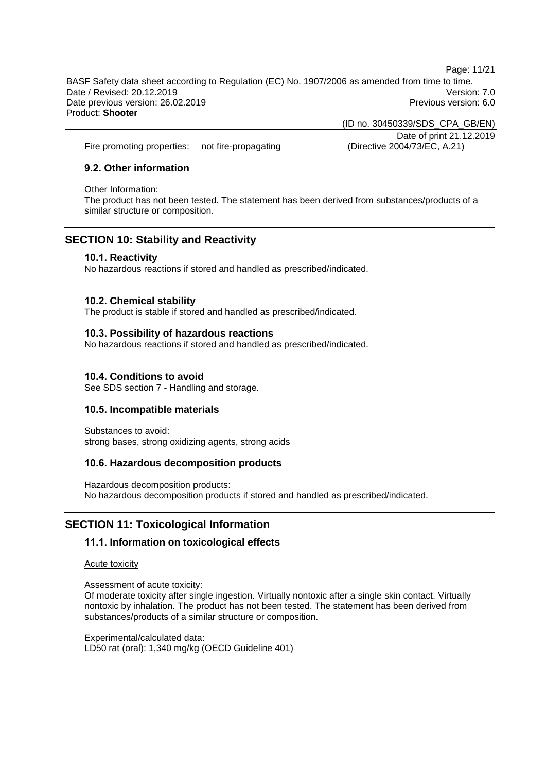Page: 11/21

BASF Safety data sheet according to Regulation (EC) No. 1907/2006 as amended from time to time. Date / Revised: 20.12.2019 Version: 7.0 Date previous version: 26.02.2019 **Previous version: 6.0** Previous version: 6.0 Product: **Shooter**

> (ID no. 30450339/SDS\_CPA\_GB/EN) Date of print 21.12.2019

Fire promoting properties: not fire-propagating (Directive 2004/73/EC, A.21)

## **9.2. Other information**

#### Other Information:

The product has not been tested. The statement has been derived from substances/products of a similar structure or composition.

## **SECTION 10: Stability and Reactivity**

## **10.1. Reactivity**

No hazardous reactions if stored and handled as prescribed/indicated.

## **10.2. Chemical stability**

The product is stable if stored and handled as prescribed/indicated.

## **10.3. Possibility of hazardous reactions**

No hazardous reactions if stored and handled as prescribed/indicated.

## **10.4. Conditions to avoid**

See SDS section 7 - Handling and storage.

## **10.5. Incompatible materials**

Substances to avoid: strong bases, strong oxidizing agents, strong acids

## **10.6. Hazardous decomposition products**

Hazardous decomposition products: No hazardous decomposition products if stored and handled as prescribed/indicated.

# **SECTION 11: Toxicological Information**

## **11.1. Information on toxicological effects**

Acute toxicity

Assessment of acute toxicity:

Of moderate toxicity after single ingestion. Virtually nontoxic after a single skin contact. Virtually nontoxic by inhalation. The product has not been tested. The statement has been derived from substances/products of a similar structure or composition.

Experimental/calculated data: LD50 rat (oral): 1,340 mg/kg (OECD Guideline 401)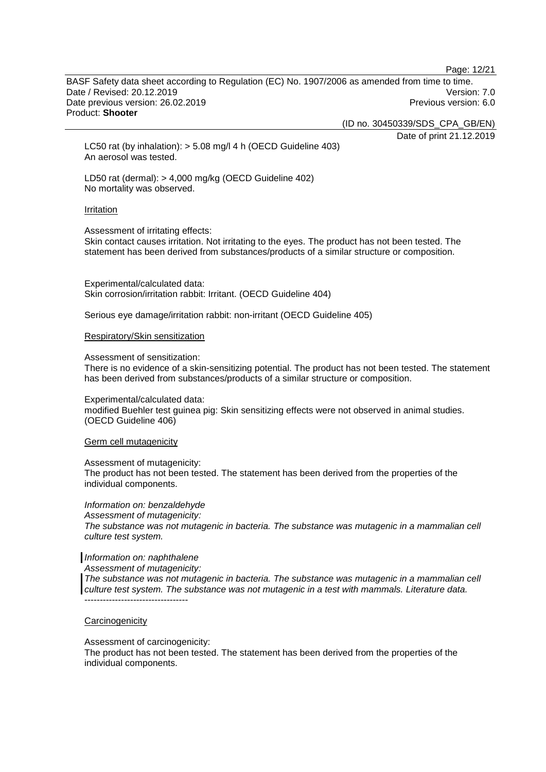Page: 12/21

BASF Safety data sheet according to Regulation (EC) No. 1907/2006 as amended from time to time. Date / Revised: 20.12.2019 Version: 7.0 Date previous version: 26.02.2019 **Previous version: 6.0** Previous version: 6.0 Product: **Shooter**

(ID no. 30450339/SDS\_CPA\_GB/EN)

Date of print 21.12.2019

LC50 rat (by inhalation): > 5.08 mg/l 4 h (OECD Guideline 403) An aerosol was tested.

LD50 rat (dermal): > 4,000 mg/kg (OECD Guideline 402) No mortality was observed.

#### Irritation

Assessment of irritating effects:

Skin contact causes irritation. Not irritating to the eyes. The product has not been tested. The statement has been derived from substances/products of a similar structure or composition.

Experimental/calculated data: Skin corrosion/irritation rabbit: Irritant. (OECD Guideline 404)

Serious eye damage/irritation rabbit: non-irritant (OECD Guideline 405)

#### Respiratory/Skin sensitization

Assessment of sensitization:

There is no evidence of a skin-sensitizing potential. The product has not been tested. The statement has been derived from substances/products of a similar structure or composition.

Experimental/calculated data: modified Buehler test guinea pig: Skin sensitizing effects were not observed in animal studies. (OECD Guideline 406)

#### Germ cell mutagenicity

Assessment of mutagenicity:

The product has not been tested. The statement has been derived from the properties of the individual components.

*Information on: benzaldehyde Assessment of mutagenicity: The substance was not mutagenic in bacteria. The substance was mutagenic in a mammalian cell culture test system.*

### *Information on: naphthalene*

*Assessment of mutagenicity:*

*The substance was not mutagenic in bacteria. The substance was mutagenic in a mammalian cell culture test system. The substance was not mutagenic in a test with mammals. Literature data.*  $-$ 

#### **Carcinogenicity**

Assessment of carcinogenicity:

The product has not been tested. The statement has been derived from the properties of the individual components.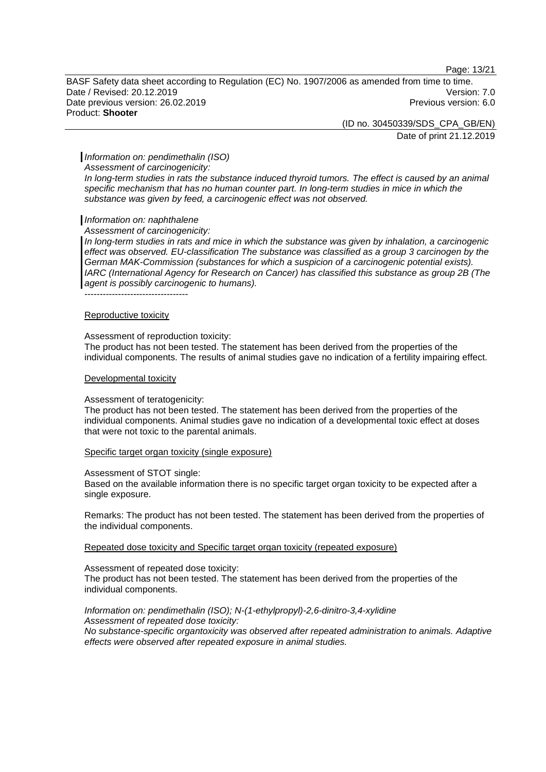Page: 13/21

BASF Safety data sheet according to Regulation (EC) No. 1907/2006 as amended from time to time. Date / Revised: 20.12.2019 Version: 7.0 Date previous version: 26.02.2019 **Previous version: 6.0** Previous version: 6.0 Product: **Shooter**

> (ID no. 30450339/SDS\_CPA\_GB/EN) Date of print 21.12.2019

#### *Information on: pendimethalin (ISO)*

*Assessment of carcinogenicity:*

*In long-term studies in rats the substance induced thyroid tumors. The effect is caused by an animal specific mechanism that has no human counter part. In long-term studies in mice in which the substance was given by feed, a carcinogenic effect was not observed.*

#### *Information on: naphthalene*

*Assessment of carcinogenicity:*

In long-term studies in rats and mice in which the substance was given by inhalation, a carcinogenic *effect was observed. EU-classification The substance was classified as a group 3 carcinogen by the German MAK-Commission (substances for which a suspicion of a carcinogenic potential exists). IARC (International Agency for Research on Cancer) has classified this substance as group 2B (The agent is possibly carcinogenic to humans).*

Reproductive toxicity

----------------------------------

#### Assessment of reproduction toxicity:

The product has not been tested. The statement has been derived from the properties of the individual components. The results of animal studies gave no indication of a fertility impairing effect.

#### Developmental toxicity

#### Assessment of teratogenicity:

The product has not been tested. The statement has been derived from the properties of the individual components. Animal studies gave no indication of a developmental toxic effect at doses that were not toxic to the parental animals.

#### Specific target organ toxicity (single exposure)

Assessment of STOT single:

Based on the available information there is no specific target organ toxicity to be expected after a single exposure.

Remarks: The product has not been tested. The statement has been derived from the properties of the individual components.

Repeated dose toxicity and Specific target organ toxicity (repeated exposure)

Assessment of repeated dose toxicity: The product has not been tested. The statement has been derived from the properties of the individual components.

# *Information on: pendimethalin (ISO); N-(1-ethylpropyl)-2,6-dinitro-3,4-xylidine*

*Assessment of repeated dose toxicity: No substance-specific organtoxicity was observed after repeated administration to animals. Adaptive effects were observed after repeated exposure in animal studies.*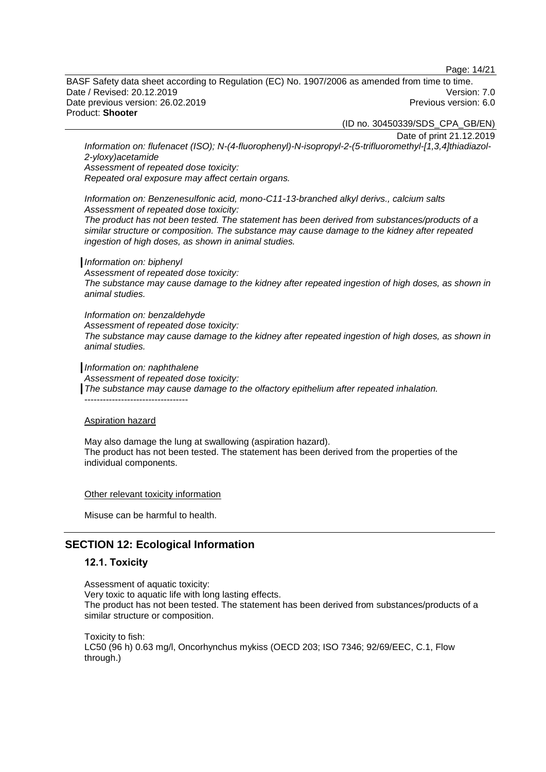Page: 14/21

BASF Safety data sheet according to Regulation (EC) No. 1907/2006 as amended from time to time. Date / Revised: 20.12.2019 Version: 7.0 Date previous version: 26.02.2019 **Previous version: 6.0** Previous version: 6.0 Product: **Shooter**

(ID no. 30450339/SDS\_CPA\_GB/EN)

Date of print 21.12.2019

*Information on: flufenacet (ISO); N-(4-fluorophenyl)-N-isopropyl-2-(5-trifluoromethyl-[1,3,4]thiadiazol-2-yloxy)acetamide*

*Assessment of repeated dose toxicity:*

*Repeated oral exposure may affect certain organs.*

*Information on: Benzenesulfonic acid, mono-C11-13-branched alkyl derivs., calcium salts Assessment of repeated dose toxicity:*

*The product has not been tested. The statement has been derived from substances/products of a similar structure or composition. The substance may cause damage to the kidney after repeated ingestion of high doses, as shown in animal studies.*

#### *Information on: biphenyl*

*Assessment of repeated dose toxicity: The substance may cause damage to the kidney after repeated ingestion of high doses, as shown in animal studies.*

*Information on: benzaldehyde Assessment of repeated dose toxicity: The substance may cause damage to the kidney after repeated ingestion of high doses, as shown in animal studies.*

*Information on: naphthalene*

*Assessment of repeated dose toxicity:*

*The substance may cause damage to the olfactory epithelium after repeated inhalation.*

----------------------------------

#### Aspiration hazard

May also damage the lung at swallowing (aspiration hazard). The product has not been tested. The statement has been derived from the properties of the individual components.

Other relevant toxicity information

Misuse can be harmful to health.

# **SECTION 12: Ecological Information**

### **12.1. Toxicity**

Assessment of aquatic toxicity: Very toxic to aquatic life with long lasting effects. The product has not been tested. The statement has been derived from substances/products of a similar structure or composition.

Toxicity to fish: LC50 (96 h) 0.63 mg/l, Oncorhynchus mykiss (OECD 203; ISO 7346; 92/69/EEC, C.1, Flow through.)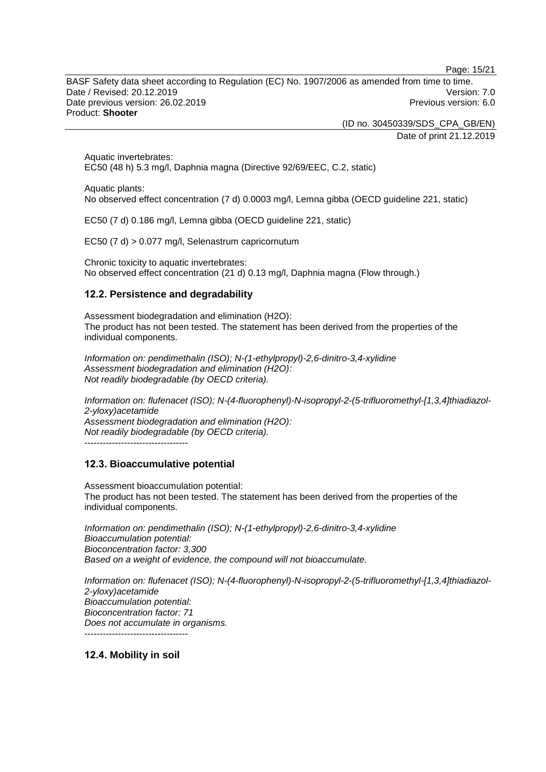Page: 15/21

BASF Safety data sheet according to Regulation (EC) No. 1907/2006 as amended from time to time. Date / Revised: 20.12.2019 Version: 7.0 Date previous version: 26.02.2019 **Previous version: 6.0** Previous version: 6.0 Product: **Shooter**

> (ID no. 30450339/SDS\_CPA\_GB/EN) Date of print 21.12.2019

Aquatic invertebrates: EC50 (48 h) 5.3 mg/l, Daphnia magna (Directive 92/69/EEC, C.2, static)

Aquatic plants:

No observed effect concentration (7 d) 0.0003 mg/l, Lemna gibba (OECD guideline 221, static)

EC50 (7 d) 0.186 mg/l, Lemna gibba (OECD guideline 221, static)

EC50 (7 d) > 0.077 mg/l, Selenastrum capricornutum

Chronic toxicity to aquatic invertebrates: No observed effect concentration (21 d) 0.13 mg/l, Daphnia magna (Flow through.)

## **12.2. Persistence and degradability**

Assessment biodegradation and elimination (H2O): The product has not been tested. The statement has been derived from the properties of the individual components.

*Information on: pendimethalin (ISO); N-(1-ethylpropyl)-2,6-dinitro-3,4-xylidine Assessment biodegradation and elimination (H2O): Not readily biodegradable (by OECD criteria).*

*Information on: flufenacet (ISO); N-(4-fluorophenyl)-N-isopropyl-2-(5-trifluoromethyl-[1,3,4]thiadiazol-2-yloxy)acetamide Assessment biodegradation and elimination (H2O): Not readily biodegradable (by OECD criteria).* ----------------------------------

# **12.3. Bioaccumulative potential**

Assessment bioaccumulation potential: The product has not been tested. The statement has been derived from the properties of the individual components.

*Information on: pendimethalin (ISO); N-(1-ethylpropyl)-2,6-dinitro-3,4-xylidine Bioaccumulation potential: Bioconcentration factor: 3,300 Based on a weight of evidence, the compound will not bioaccumulate.*

*Information on: flufenacet (ISO); N-(4-fluorophenyl)-N-isopropyl-2-(5-trifluoromethyl-[1,3,4]thiadiazol-2-yloxy)acetamide Bioaccumulation potential: Bioconcentration factor: 71 Does not accumulate in organisms.* ----------------------------------

**12.4. Mobility in soil**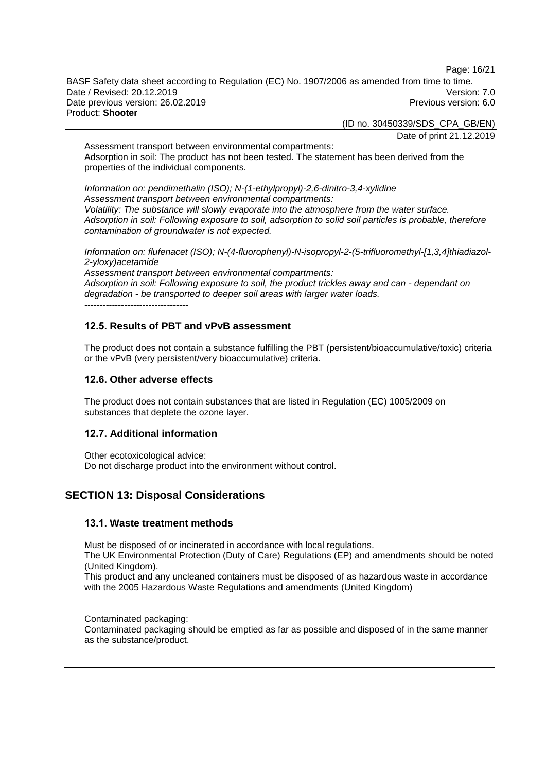Page: 16/21

BASF Safety data sheet according to Regulation (EC) No. 1907/2006 as amended from time to time. Date / Revised: 20.12.2019 Version: 7.0 Date previous version: 26.02.2019 **Previous version: 6.0** Previous version: 6.0 Product: **Shooter**

(ID no. 30450339/SDS\_CPA\_GB/EN)

Date of print 21.12.2019

Assessment transport between environmental compartments: Adsorption in soil: The product has not been tested. The statement has been derived from the properties of the individual components.

*Information on: pendimethalin (ISO); N-(1-ethylpropyl)-2,6-dinitro-3,4-xylidine Assessment transport between environmental compartments: Volatility: The substance will slowly evaporate into the atmosphere from the water surface. Adsorption in soil: Following exposure to soil, adsorption to solid soil particles is probable, therefore contamination of groundwater is not expected.*

*Information on: flufenacet (ISO); N-(4-fluorophenyl)-N-isopropyl-2-(5-trifluoromethyl-[1,3,4]thiadiazol-2-yloxy)acetamide*

*Assessment transport between environmental compartments: Adsorption in soil: Following exposure to soil, the product trickles away and can - dependant on degradation - be transported to deeper soil areas with larger water loads.* ----------------------------------

# **12.5. Results of PBT and vPvB assessment**

The product does not contain a substance fulfilling the PBT (persistent/bioaccumulative/toxic) criteria or the vPvB (very persistent/very bioaccumulative) criteria.

## **12.6. Other adverse effects**

The product does not contain substances that are listed in Regulation (EC) 1005/2009 on substances that deplete the ozone layer.

## **12.7. Additional information**

Other ecotoxicological advice: Do not discharge product into the environment without control.

# **SECTION 13: Disposal Considerations**

## **13.1. Waste treatment methods**

Must be disposed of or incinerated in accordance with local regulations.

The UK Environmental Protection (Duty of Care) Regulations (EP) and amendments should be noted (United Kingdom).

This product and any uncleaned containers must be disposed of as hazardous waste in accordance with the 2005 Hazardous Waste Regulations and amendments (United Kingdom)

Contaminated packaging:

Contaminated packaging should be emptied as far as possible and disposed of in the same manner as the substance/product.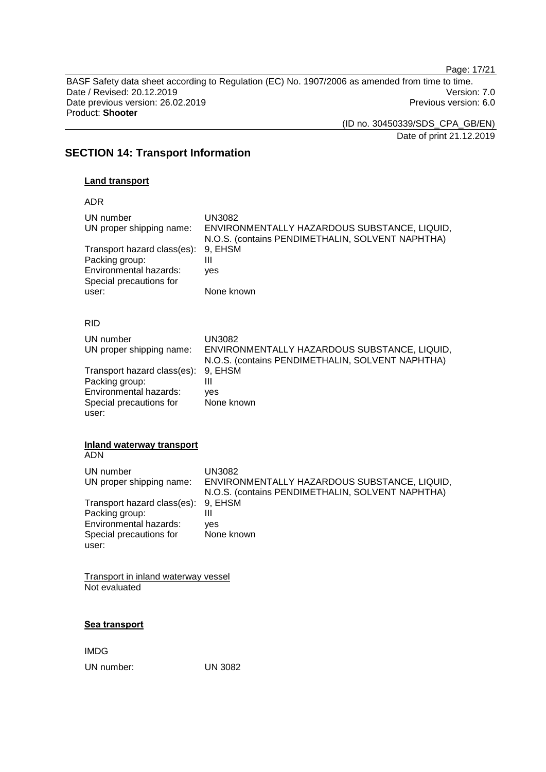Page: 17/21

BASF Safety data sheet according to Regulation (EC) No. 1907/2006 as amended from time to time. Date / Revised: 20.12.2019 Version: 7.0<br>Date previous version: 26.02.2019 Version: 7.0 Date previous version: 26.02.2019 Product: **Shooter**

> (ID no. 30450339/SDS\_CPA\_GB/EN) Date of print 21.12.2019

**SECTION 14: Transport Information**

## **Land transport**

ADR

| UN number<br>UN proper shipping name:<br>Transport hazard class(es):<br>Packing group:<br>Environmental hazards:<br>Special precautions for<br>user: | <b>UN3082</b><br>ENVIRONMENTALLY HAZARDOUS SUBSTANCE, LIQUID,<br>N.O.S. (contains PENDIMETHALIN, SOLVENT NAPHTHA)<br>9, EHSM<br>III<br>yes<br>None known |
|------------------------------------------------------------------------------------------------------------------------------------------------------|----------------------------------------------------------------------------------------------------------------------------------------------------------|
| <b>RID</b>                                                                                                                                           |                                                                                                                                                          |
| UN number<br>UN proper shipping name:<br>Transport hazard class(es):                                                                                 | <b>UN3082</b><br>ENVIRONMENTALLY HAZARDOUS SUBSTANCE, LIQUID,<br>N.O.S. (contains PENDIMETHALIN, SOLVENT NAPHTHA)<br>9, EHSM                             |
| Packing group:<br>Environmental hazards:<br>Special precautions for<br>user:                                                                         | Ш<br>ves<br>None known                                                                                                                                   |
| Inland waterway transport<br><b>ADN</b>                                                                                                              |                                                                                                                                                          |
| UN number<br>UN proper shipping name:                                                                                                                | <b>UN3082</b><br>ENVIRONMENTALLY HAZARDOUS SUBSTANCE, LIQUID,<br>N.O.S. (contains PENDIMETHALIN, SOLVENT NAPHTHA)                                        |
| Transport hazard class(es):<br>Packing group:<br>Environmental hazards:<br>Special precautions for<br>user:                                          | 9, EHSM<br>Ш<br>ves<br>None known                                                                                                                        |
| <b>Transport in inland waterway vessel</b><br>Not evaluated                                                                                          |                                                                                                                                                          |

## **Sea transport**

IMDG UN number: UN 3082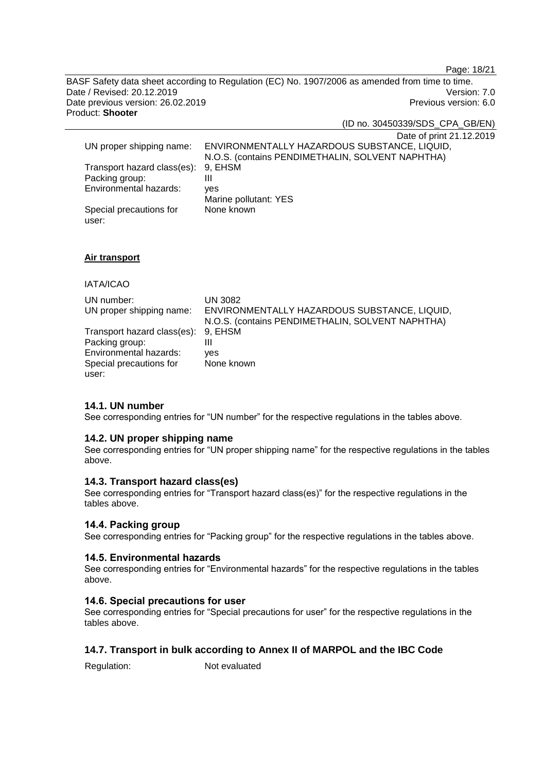Page: 18/21

BASF Safety data sheet according to Regulation (EC) No. 1907/2006 as amended from time to time. Date / Revised: 20.12.2019 Version: 7.0<br>Date previous version: 26.02.2019 Version: 7.0 Date previous version: 26.02.2019 Product: **Shooter**

(ID no. 30450339/SDS\_CPA\_GB/EN)

Date of print 21.12.2019

| UN proper shipping name:            | ENVIRONMENTALLY HAZARDOUS SUBSTANCE, LIQUID,     |
|-------------------------------------|--------------------------------------------------|
|                                     | N.O.S. (contains PENDIMETHALIN, SOLVENT NAPHTHA) |
| Transport hazard class(es): 9, EHSM |                                                  |
| Packing group:                      | Ш                                                |
| Environmental hazards:              | ves                                              |
|                                     | Marine pollutant: YES                            |
| Special precautions for             | None known                                       |
| user:                               |                                                  |

## **Air transport**

## IATA/ICAO

| UN number:                          | UN 3082                                          |
|-------------------------------------|--------------------------------------------------|
| UN proper shipping name:            | ENVIRONMENTALLY HAZARDOUS SUBSTANCE, LIQUID,     |
|                                     | N.O.S. (contains PENDIMETHALIN, SOLVENT NAPHTHA) |
| Transport hazard class(es): 9, EHSM |                                                  |
| Packing group:                      | Ш                                                |
| Environmental hazards:              | ves                                              |
| Special precautions for             | None known                                       |
| user:                               |                                                  |

## **14.1. UN number**

See corresponding entries for "UN number" for the respective regulations in the tables above.

#### **14.2. UN proper shipping name**

See corresponding entries for "UN proper shipping name" for the respective regulations in the tables above.

## **14.3. Transport hazard class(es)**

See corresponding entries for "Transport hazard class(es)" for the respective regulations in the tables above.

#### **14.4. Packing group**

See corresponding entries for "Packing group" for the respective regulations in the tables above.

#### **14.5. Environmental hazards**

See corresponding entries for "Environmental hazards" for the respective regulations in the tables above.

#### **14.6. Special precautions for user**

See corresponding entries for "Special precautions for user" for the respective regulations in the tables above.

# **14.7. Transport in bulk according to Annex II of MARPOL and the IBC Code**

Regulation: Not evaluated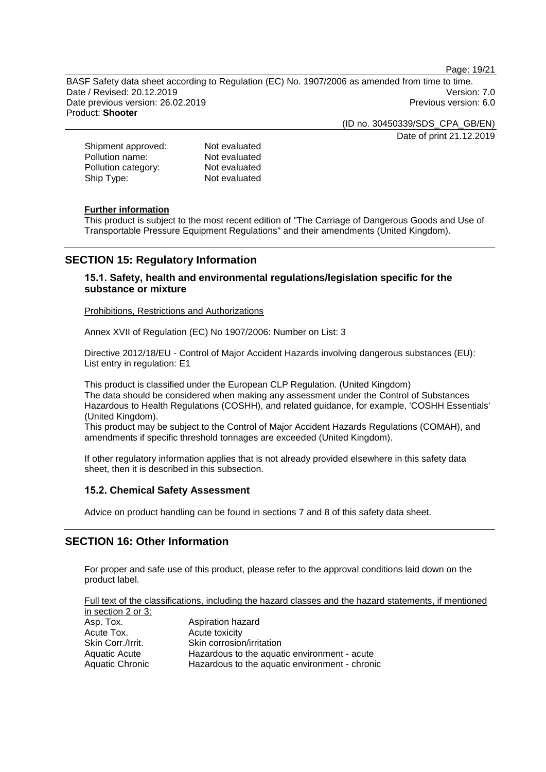Page: 19/21

BASF Safety data sheet according to Regulation (EC) No. 1907/2006 as amended from time to time. Date / Revised: 20.12.2019 Version: 7.0 Date previous version: 26.02.2019 **Previous version: 6.0** Previous version: 6.0 Product: **Shooter**

> (ID no. 30450339/SDS\_CPA\_GB/EN) Date of print 21.12.2019

| Shipment approved:  | Not evaluated |
|---------------------|---------------|
| Pollution name:     | Not evaluated |
| Pollution category: | Not evaluated |
| Ship Type:          | Not evaluated |

## **Further information**

This product is subject to the most recent edition of "The Carriage of Dangerous Goods and Use of Transportable Pressure Equipment Regulations" and their amendments (United Kingdom).

# **SECTION 15: Regulatory Information**

## **15.1. Safety, health and environmental regulations/legislation specific for the substance or mixture**

Prohibitions, Restrictions and Authorizations

Annex XVII of Regulation (EC) No 1907/2006: Number on List: 3

Directive 2012/18/EU - Control of Major Accident Hazards involving dangerous substances (EU): List entry in regulation: E1

This product is classified under the European CLP Regulation. (United Kingdom) The data should be considered when making any assessment under the Control of Substances Hazardous to Health Regulations (COSHH), and related guidance, for example, 'COSHH Essentials' (United Kingdom).

This product may be subject to the Control of Major Accident Hazards Regulations (COMAH), and amendments if specific threshold tonnages are exceeded (United Kingdom).

If other regulatory information applies that is not already provided elsewhere in this safety data sheet, then it is described in this subsection.

## **15.2. Chemical Safety Assessment**

Advice on product handling can be found in sections 7 and 8 of this safety data sheet.

# **SECTION 16: Other Information**

For proper and safe use of this product, please refer to the approval conditions laid down on the product label.

Full text of the classifications, including the hazard classes and the hazard statements, if mentioned in section 2 or 3:

| Asp. Tox.         | Aspiration hazard                              |
|-------------------|------------------------------------------------|
| Acute Tox.        | Acute toxicity                                 |
| Skin Corr./Irrit. | Skin corrosion/irritation                      |
| Aquatic Acute     | Hazardous to the aquatic environment - acute   |
| Aquatic Chronic   | Hazardous to the aquatic environment - chronic |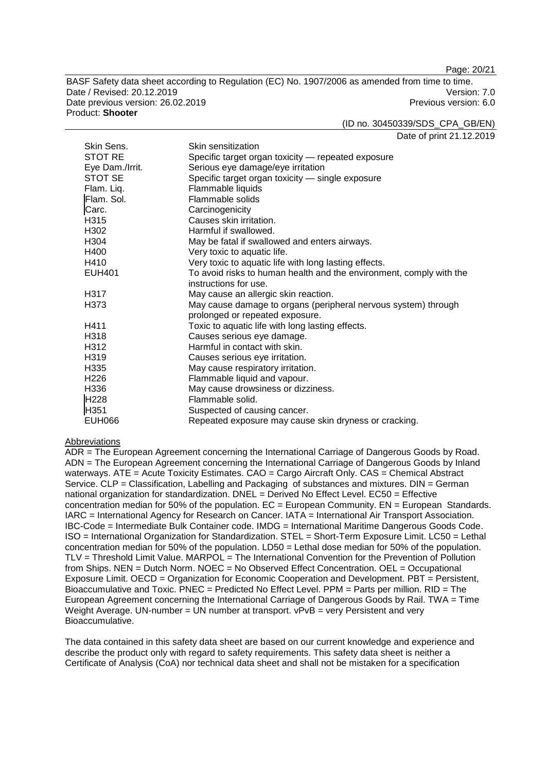Page: 20/21

BASF Safety data sheet according to Regulation (EC) No. 1907/2006 as amended from time to time. Date / Revised: 20.12.2019 Version: 7.0 Date previous version: 26.02.2019 **Previous version: 6.0** Previous version: 6.0 Product: **Shooter**

(ID no. 30450339/SDS\_CPA\_GB/EN)

Date of print 21.12.2019

| Skin Sens.       | Skin sensitization                                                  |
|------------------|---------------------------------------------------------------------|
| STOT RE          | Specific target organ toxicity - repeated exposure                  |
| Eye Dam./Irrit.  | Serious eye damage/eye irritation                                   |
| STOT SE          | Specific target organ toxicity - single exposure                    |
| Flam. Liq.       | Flammable liquids                                                   |
| Flam. Sol.       | Flammable solids                                                    |
| Carc.            | Carcinogenicity                                                     |
| H315             | Causes skin irritation.                                             |
| H302             | Harmful if swallowed.                                               |
| H <sub>304</sub> | May be fatal if swallowed and enters airways.                       |
| H400             | Very toxic to aquatic life.                                         |
| H410             | Very toxic to aquatic life with long lasting effects.               |
| <b>EUH401</b>    | To avoid risks to human health and the environment, comply with the |
|                  | instructions for use.                                               |
| H317             | May cause an allergic skin reaction.                                |
| H373             | May cause damage to organs (peripheral nervous system) through      |
|                  | prolonged or repeated exposure.                                     |
| H411             | Toxic to aquatic life with long lasting effects.                    |
| H318             | Causes serious eye damage.                                          |
| H312             | Harmful in contact with skin.                                       |
| H <sub>319</sub> | Causes serious eye irritation.                                      |
| H335             | May cause respiratory irritation.                                   |
| H <sub>226</sub> | Flammable liquid and vapour.                                        |
| H336             | May cause drowsiness or dizziness.                                  |
| H <sub>228</sub> | Flammable solid.                                                    |
| H351             | Suspected of causing cancer.                                        |
| <b>EUH066</b>    | Repeated exposure may cause skin dryness or cracking.               |

#### Abbreviations

ADR = The European Agreement concerning the International Carriage of Dangerous Goods by Road. ADN = The European Agreement concerning the International Carriage of Dangerous Goods by Inland waterways. ATE = Acute Toxicity Estimates. CAO = Cargo Aircraft Only. CAS = Chemical Abstract Service. CLP = Classification, Labelling and Packaging of substances and mixtures. DIN = German national organization for standardization. DNEL = Derived No Effect Level. EC50 = Effective concentration median for 50% of the population.  $EC = European$  Community.  $EN = European$  Standards. IARC = International Agency for Research on Cancer. IATA = International Air Transport Association. IBC-Code = Intermediate Bulk Container code. IMDG = International Maritime Dangerous Goods Code. ISO = International Organization for Standardization. STEL = Short-Term Exposure Limit. LC50 = Lethal concentration median for 50% of the population. LD50 = Lethal dose median for 50% of the population. TLV = Threshold Limit Value. MARPOL = The International Convention for the Prevention of Pollution from Ships. NEN = Dutch Norm. NOEC = No Observed Effect Concentration. OEL = Occupational Exposure Limit. OECD = Organization for Economic Cooperation and Development. PBT = Persistent, Bioaccumulative and Toxic. PNEC = Predicted No Effect Level. PPM = Parts per million. RID = The European Agreement concerning the International Carriage of Dangerous Goods by Rail. TWA = Time Weight Average. UN-number =  $\overline{UN}$  number at transport.  $\overline{VPVB}$  = very Persistent and very Bioaccumulative.

The data contained in this safety data sheet are based on our current knowledge and experience and describe the product only with regard to safety requirements. This safety data sheet is neither a Certificate of Analysis (CoA) nor technical data sheet and shall not be mistaken for a specification